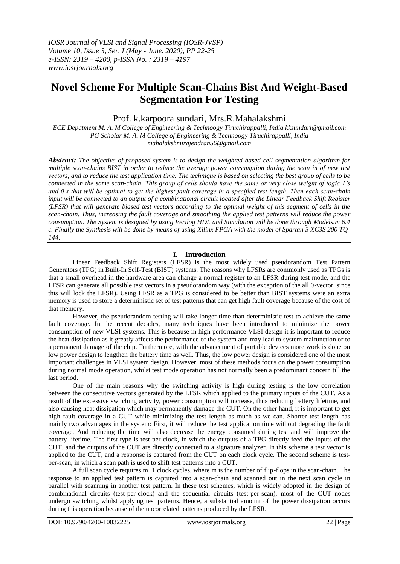## **Novel Scheme For Multiple Scan-Chains Bist And Weight-Based Segmentation For Testing**

Prof. k.karpoora sundari, Mrs.R.Mahalakshmi

*ECE Depatment M. A. M College of Engineering & Technoogy Tiruchirappalli, India kksundari@gmail.com PG Scholar M. A. M College of Engineering & Technoogy Tiruchirappalli, India [mahalakshmirajendran56@gmail.com](mailto:mahalakshmirajendran56@gmail.com)*

*Abstract: The objective of proposed system is to design the weighted based cell segmentation algorithm for multiple scan-chains BIST in order to reduce the average power consumption during the scan in of new test vectors, and to reduce the test application time. The technique is based on selecting the best group of cells to be connected in the same scan-chain. This group of cells should have the same or very close weight of logic 1's and 0's that will be optimal to get the highest fault coverage in a specified test length. Then each scan-chain input will be connected to an output of a combinational circuit located after the Linear Feedback Shift Register (LFSR) that will generate biased test vectors according to the optimal weight of this segment of cells in the scan-chain. Thus, increasing the fault coverage and smoothing the applied test patterns will reduce the power consumption. The System is designed by using Verilog HDL and Simulation will be done through Modelsim 6.4 c. Finally the Synthesis will be done by means of using Xilinx FPGA with the model of Spartan 3 XC3S 200 TQ-144.*

## **I. Introduction**

Linear Feedback Shift Registers (LFSR) is the most widely used pseudorandom Test Pattern Generators (TPG) in Built-In Self-Test (BIST) systems. The reasons why LFSRs are commonly used as TPGs is that a small overhead in the hardware area can change a normal register to an LFSR during test mode, and the LFSR can generate all possible test vectors in a pseudorandom way (with the exception of the all 0-vector, since this will lock the LFSR). Using LFSR as a TPG is considered to be better than BIST systems were an extra memory is used to store a deterministic set of test patterns that can get high fault coverage because of the cost of that memory.

However, the pseudorandom testing will take longer time than deterministic test to achieve the same fault coverage. In the recent decades, many techniques have been introduced to minimize the power consumption of new VLSI systems. This is because in high performance VLSI design it is important to reduce the heat dissipation as it greatly affects the performance of the system and may lead to system malfunction or to a permanent damage of the chip. Furthermore, with the advancement of portable devices more work is done on low power design to lengthen the battery time as well. Thus, the low power design is considered one of the most important challenges in VLSI system design. However, most of these methods focus on the power consumption during normal mode operation, whilst test mode operation has not normally been a predominant concern till the last period.

One of the main reasons why the switching activity is high during testing is the low correlation between the consecutive vectors generated by the LFSR which applied to the primary inputs of the CUT. As a result of the excessive switching activity, power consumption will increase, thus reducing battery lifetime, and also causing heat dissipation which may permanently damage the CUT. On the other hand, it is important to get high fault coverage in a CUT while minimizing the test length as much as we can. Shorter test length has mainly two advantages in the system: First, it will reduce the test application time without degrading the fault coverage. And reducing the time will also decrease the energy consumed during test and will improve the battery lifetime. The first type is test-per-clock, in which the outputs of a TPG directly feed the inputs of the CUT, and the outputs of the CUT are directly connected to a signature analyzer. In this scheme a test vector is applied to the CUT, and a response is captured from the CUT on each clock cycle. The second scheme is testper-scan, in which a scan path is used to shift test patterns into a CUT.

A full scan cycle requires m+1 clock cycles, where m is the number of flip-flops in the scan-chain. The response to an applied test pattern is captured into a scan-chain and scanned out in the next scan cycle in parallel with scanning in another test pattern. In these test schemes, which is widely adopted in the design of combinational circuits (test-per-clock) and the sequential circuits (test-per-scan), most of the CUT nodes undergo switching whilst applying test patterns. Hence, a substantial amount of the power dissipation occurs during this operation because of the uncorrelated patterns produced by the LFSR.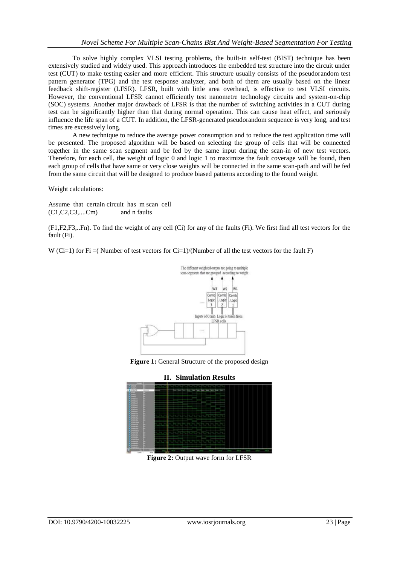To solve highly complex VLSI testing problems, the built-in self-test (BIST) technique has been extensively studied and widely used. This approach introduces the embedded test structure into the circuit under test (CUT) to make testing easier and more efficient. This structure usually consists of the pseudorandom test pattern generator (TPG) and the test response analyzer, and both of them are usually based on the linear feedback shift-register (LFSR). LFSR, built with little area overhead, is effective to test VLSI circuits. However, the conventional LFSR cannot efficiently test nanometre technology circuits and system-on-chip (SOC) systems. Another major drawback of LFSR is that the number of switching activities in a CUT during test can be significantly higher than that during normal operation. This can cause heat effect, and seriously influence the life span of a CUT. In addition, the LFSR-generated pseudorandom sequence is very long, and test times are excessively long.

A new technique to reduce the average power consumption and to reduce the test application time will be presented. The proposed algorithm will be based on selecting the group of cells that will be connected together in the same scan segment and be fed by the same input during the scan-in of new test vectors. Therefore, for each cell, the weight of logic 0 and logic 1 to maximize the fault coverage will be found, then each group of cells that have same or very close weights will be connected in the same scan-path and will be fed from the same circuit that will be designed to produce biased patterns according to the found weight.

Weight calculations:

Assume that certain circuit has m scan cell (C1,C2,C3,....Cm) and n faults

(F1,F2,F3,..Fn). To find the weight of any cell (Ci) for any of the faults (Fi). We first find all test vectors for the fault (Fi).

W (Ci=1) for Fi =( Number of test vectors for Ci=1)/(Number of all the test vectors for the fault F)



**Figure 1:** General Structure of the proposed design



**Figure 2:** Output wave form for LFSR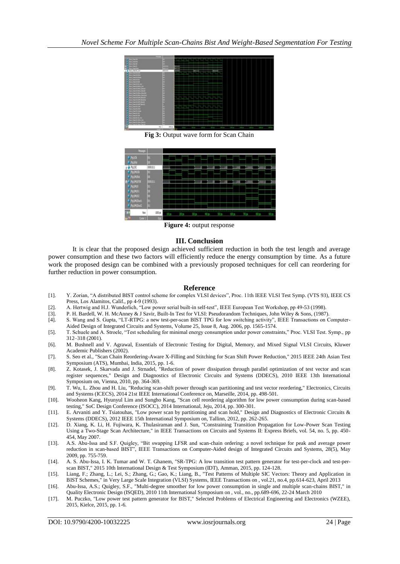

**Fig 3:** Output wave form for Scan Chain



**Figure 4:** output response

## **III. Conclusion**

It is clear that the proposed design achieved sufficient reduction in both the test length and average power consumption and these two factors will efficiently reduce the energy consumption by time. As a future work the proposed design can be combined with a previously proposed techniques for cell can reordering for further reduction in power consumption.

## **Reference**

- [1]. Y. Zorian, "A distributed BIST control scheme for complex VLSI devices", Proc. 11th IEEE VLSI Test Symp. (VTS 93), IEEE CS Press, Los Alamitos, Calif., pp 4-9 (1993).
- [2]. A. Hertwig and H.J. Wunderlich, "Low power serial built-in self-test", IEEE European Test Workshop, pp 49-53 (1998).
- [3]. P. H. Bardell, W. H. McAnney & J Savir, Built-In Test for VLSI: Pseudorandom Techniques, John Wiley & Sons, (1987).
- [4]. S. Wang and S. Gupta, "LT-RTPG: a new test-per-scan BIST TPG for low switching activity", IEEE Transactions on Computer-Aided Design of Integrated Circuits and Systems, Volume 25, Issue 8, Aug. 2006, pp. 1565-1574.
- [5]. T. Schuele and A. Stroele, "Test scheduling for minimal energy consumption under power constraints," Proc. VLSI Test. Symp., pp 312–318 (2001).
- [6]. M. Bushnell and V. Agrawal, Essentials of Electronic Testing for Digital, Memory, and Mixed Signal VLSI Circuits, Kluwer Academic Publishers (2002).
- [7]. S. Seo et al., "Scan Chain Reordering-Aware X-Filling and Stitching for Scan Shift Power Reduction," 2015 IEEE 24th Asian Test Symposium (ATS), Mumbai, India, 2015, pp. 1-6.
- [8]. Z. Kotasek, J. Skarvada and J. Strnadel, "Reduction of power dissipation through parallel optimization of test vector and scan register sequences," Design and Diagnostics of Electronic Circuits and Systems (DDECS), 2010 IEEE 13th International Symposium on, Vienna, 2010, pp. 364-369.
- [9]. T. Wu, L. Zhou and H. Liu, "Reducing scan-shift power through scan partitioning and test vector reordering," Electronics, Circuits and Systems (ICECS), 2014 21st IEEE International Conference on, Marseille, 2014, pp. 498-501.
- [10]. Wooheon Kang, Hyunyul Lim and Sungho Kang, "Scan cell reordering algorithm for low power consumption during scan-based testing," SoC Design Conference (ISOCC), 2014 International, Jeju, 2014, pp. 300-301.
- [11]. E. Arvaniti and Y. Tsiatouhas, "Low power scan by partitioning and scan hold," Design and Diagnostics of Electronic Circuits & Systems (DDECS), 2012 IEEE 15th International Symposium on, Tallinn, 2012, pp. 262-265.
- [12]. D. Xiang, K. Li, H. Fujiwara, K. Thulasiraman and J. Sun, "Constraining Transition Propagation for Low-Power Scan Testing Using a Two-Stage Scan Architecture," in IEEE Transactions on Circuits and Systems II: Express Briefs, vol. 54, no. 5, pp. 450- 454, May 2007.
- [13]. A.S. Abu-Issa and S.F. Quigley, "Bit swapping LFSR and scan-chain ordering: a novel technique for peak and average power reduction in scan-based BIST", IEEE Transactions on Computer-Aided design of Integrated Circuits and Systems, 28(5), May 2009, pp. 755-759.
- [14]. A. S. Abu-Issa, I. K. Tumar and W. T. Ghanem, "SR-TPG: A low transition test pattern generator for test-per-clock and test-perscan BIST," 2015 10th International Design & Test Symposium (IDT), Amman, 2015, pp. 124-128.
- [15]. Liang, F.; Zhang, L.; Lei, S.; Zhang, G.; Gao, K.; Liang, B., "Test Patterns of Multiple SIC Vectors: Theory and Application in BIST Schemes," in Very Large Scale Integration (VLSI) Systems, IEEE Transactions on , vol.21, no.4, pp.614-623, April 2013
- [16]. Abu-Issa, A.S.; Quigley, S.F., "Multi-degree smoother for low power consumption in single and multiple scan-chains BIST," in Quality Electronic Design (ISQED), 2010 11th International Symposium on , vol., no., pp.689-696, 22-24 March 2010
- [17]. M. Puczko, "Low power test pattern generator for BIST," Selected Problems of Electrical Engineering and Electronics (WZEE), 2015, Kielce, 2015, pp. 1-6.